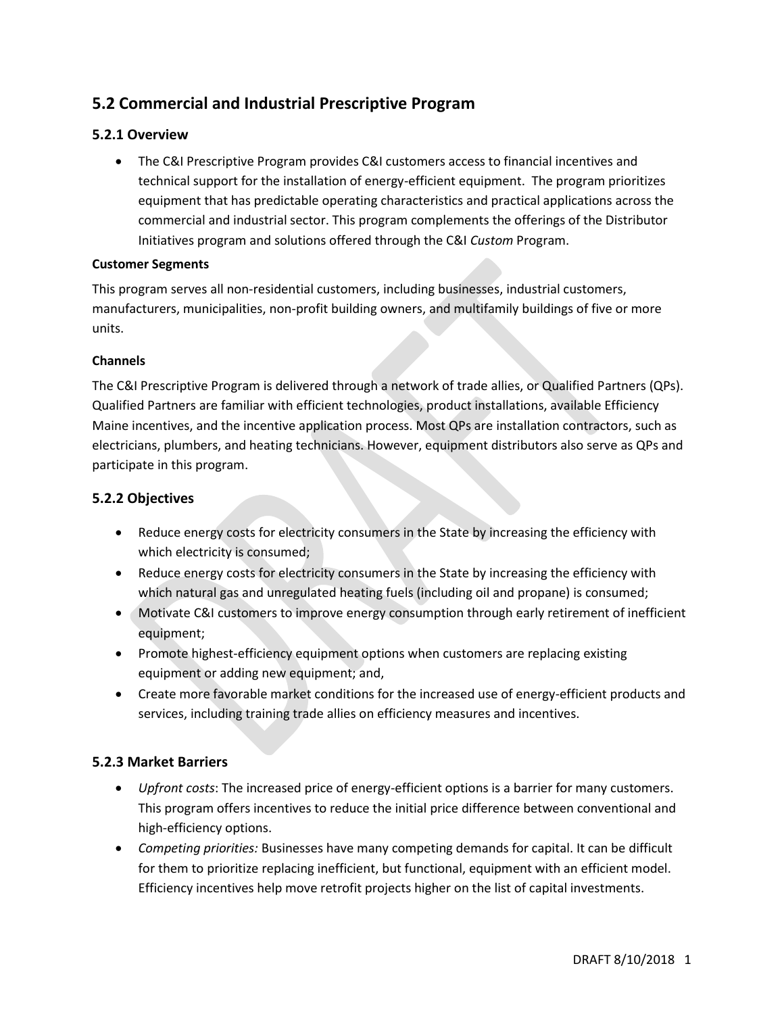# **5.2 Commercial and Industrial Prescriptive Program**

# **5.2.1 Overview**

• The C&I Prescriptive Program provides C&I customers access to financial incentives and technical support for the installation of energy-efficient equipment. The program prioritizes equipment that has predictable operating characteristics and practical applications across the commercial and industrial sector. This program complements the offerings of the Distributor Initiatives program and solutions offered through the C&I *Custom* Program.

#### **Customer Segments**

This program serves all non-residential customers, including businesses, industrial customers, manufacturers, municipalities, non-profit building owners, and multifamily buildings of five or more units.

#### **Channels**

The C&I Prescriptive Program is delivered through a network of trade allies, or Qualified Partners (QPs). Qualified Partners are familiar with efficient technologies, product installations, available Efficiency Maine incentives, and the incentive application process. Most QPs are installation contractors, such as electricians, plumbers, and heating technicians. However, equipment distributors also serve as QPs and participate in this program.

# **5.2.2 Objectives**

- Reduce energy costs for electricity consumers in the State by increasing the efficiency with which electricity is consumed;
- Reduce energy costs for electricity consumers in the State by increasing the efficiency with which natural gas and unregulated heating fuels (including oil and propane) is consumed;
- Motivate C&I customers to improve energy consumption through early retirement of inefficient equipment;
- Promote highest-efficiency equipment options when customers are replacing existing equipment or adding new equipment; and,
- Create more favorable market conditions for the increased use of energy-efficient products and services, including training trade allies on efficiency measures and incentives.

# **5.2.3 Market Barriers**

- *Upfront costs*: The increased price of energy-efficient options is a barrier for many customers. This program offers incentives to reduce the initial price difference between conventional and high-efficiency options.
- *Competing priorities:* Businesses have many competing demands for capital. It can be difficult for them to prioritize replacing inefficient, but functional, equipment with an efficient model. Efficiency incentives help move retrofit projects higher on the list of capital investments.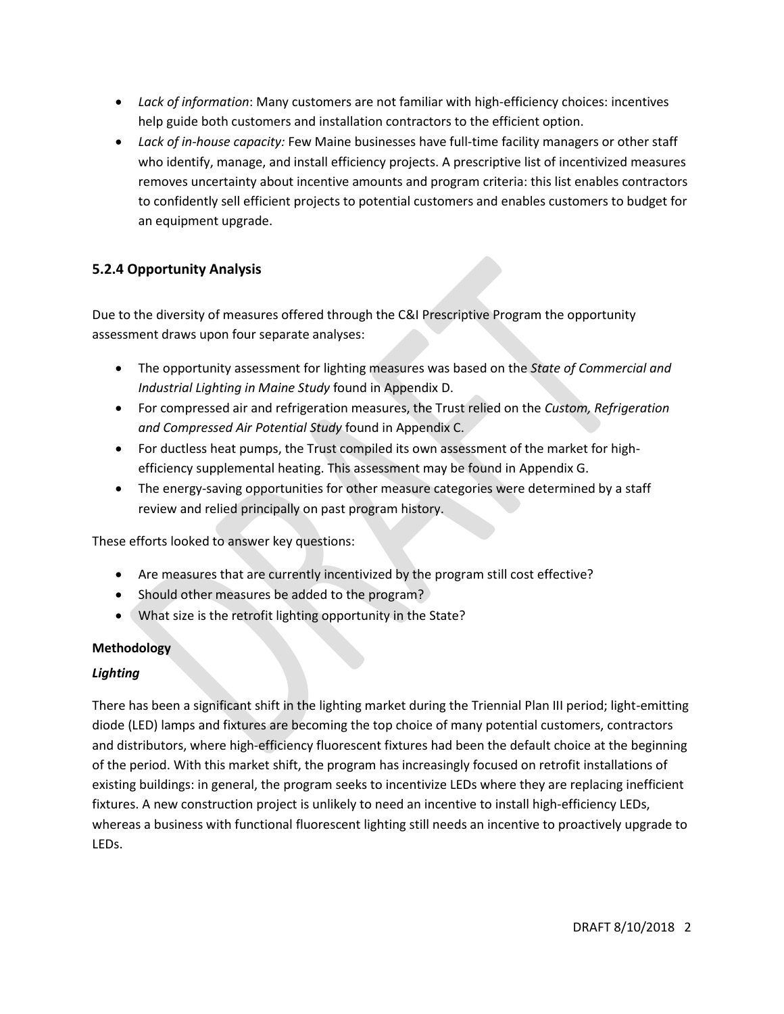- *Lack of information*: Many customers are not familiar with high-efficiency choices: incentives help guide both customers and installation contractors to the efficient option.
- *Lack of in-house capacity:* Few Maine businesses have full-time facility managers or other staff who identify, manage, and install efficiency projects. A prescriptive list of incentivized measures removes uncertainty about incentive amounts and program criteria: this list enables contractors to confidently sell efficient projects to potential customers and enables customers to budget for an equipment upgrade.

# **5.2.4 Opportunity Analysis**

Due to the diversity of measures offered through the C&I Prescriptive Program the opportunity assessment draws upon four separate analyses:

- The opportunity assessment for lighting measures was based on the *State of Commercial and Industrial Lighting in Maine Study* found in Appendix D.
- For compressed air and refrigeration measures, the Trust relied on the *Custom, Refrigeration and Compressed Air Potential Study* found in Appendix C.
- For ductless heat pumps, the Trust compiled its own assessment of the market for highefficiency supplemental heating. This assessment may be found in Appendix G.
- The energy-saving opportunities for other measure categories were determined by a staff review and relied principally on past program history.

These efforts looked to answer key questions:

- Are measures that are currently incentivized by the program still cost effective?
- Should other measures be added to the program?
- What size is the retrofit lighting opportunity in the State?

# **Methodology**

# *Lighting*

There has been a significant shift in the lighting market during the Triennial Plan III period; light-emitting diode (LED) lamps and fixtures are becoming the top choice of many potential customers, contractors and distributors, where high-efficiency fluorescent fixtures had been the default choice at the beginning of the period. With this market shift, the program has increasingly focused on retrofit installations of existing buildings: in general, the program seeks to incentivize LEDs where they are replacing inefficient fixtures. A new construction project is unlikely to need an incentive to install high-efficiency LEDs, whereas a business with functional fluorescent lighting still needs an incentive to proactively upgrade to LEDs.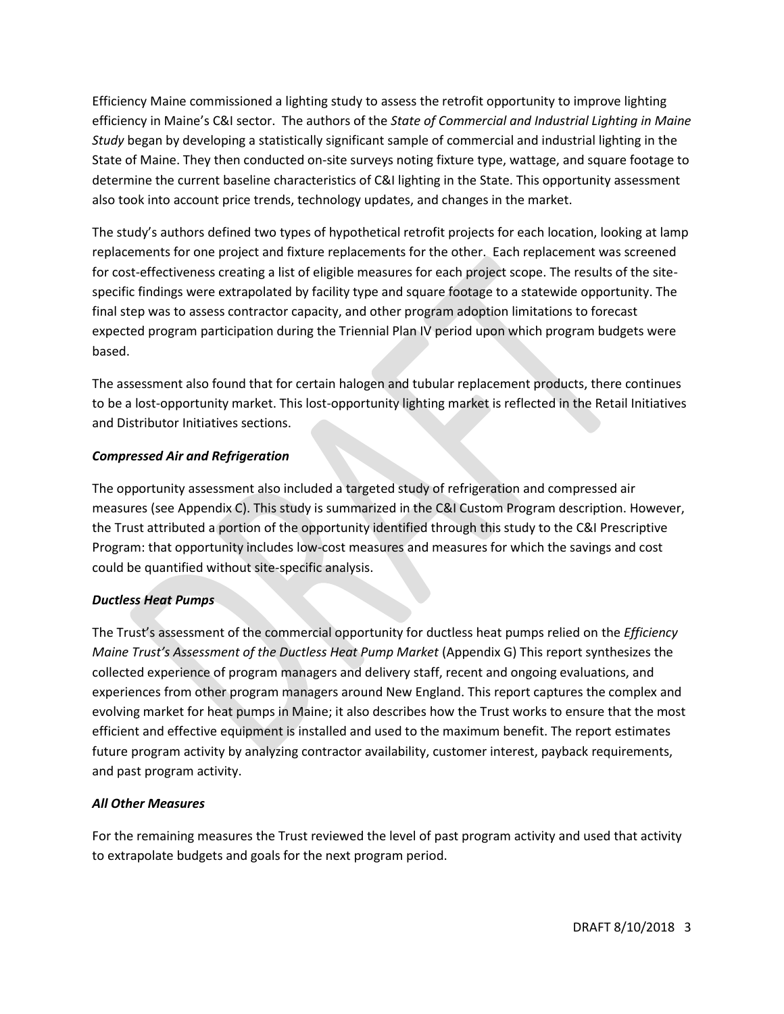Efficiency Maine commissioned a lighting study to assess the retrofit opportunity to improve lighting efficiency in Maine's C&I sector. The authors of the *State of Commercial and Industrial Lighting in Maine Study* began by developing a statistically significant sample of commercial and industrial lighting in the State of Maine. They then conducted on-site surveys noting fixture type, wattage, and square footage to determine the current baseline characteristics of C&I lighting in the State. This opportunity assessment also took into account price trends, technology updates, and changes in the market.

The study's authors defined two types of hypothetical retrofit projects for each location, looking at lamp replacements for one project and fixture replacements for the other. Each replacement was screened for cost-effectiveness creating a list of eligible measures for each project scope. The results of the sitespecific findings were extrapolated by facility type and square footage to a statewide opportunity. The final step was to assess contractor capacity, and other program adoption limitations to forecast expected program participation during the Triennial Plan IV period upon which program budgets were based.

The assessment also found that for certain halogen and tubular replacement products, there continues to be a lost-opportunity market. This lost-opportunity lighting market is reflected in the Retail Initiatives and Distributor Initiatives sections.

#### *Compressed Air and Refrigeration*

The opportunity assessment also included a targeted study of refrigeration and compressed air measures (see Appendix C). This study is summarized in the C&I Custom Program description. However, the Trust attributed a portion of the opportunity identified through this study to the C&I Prescriptive Program: that opportunity includes low-cost measures and measures for which the savings and cost could be quantified without site-specific analysis.

#### *Ductless Heat Pumps*

The Trust's assessment of the commercial opportunity for ductless heat pumps relied on the *Efficiency Maine Trust's Assessment of the Ductless Heat Pump Market* (Appendix G) This report synthesizes the collected experience of program managers and delivery staff, recent and ongoing evaluations, and experiences from other program managers around New England. This report captures the complex and evolving market for heat pumps in Maine; it also describes how the Trust works to ensure that the most efficient and effective equipment is installed and used to the maximum benefit. The report estimates future program activity by analyzing contractor availability, customer interest, payback requirements, and past program activity.

# *All Other Measures*

For the remaining measures the Trust reviewed the level of past program activity and used that activity to extrapolate budgets and goals for the next program period.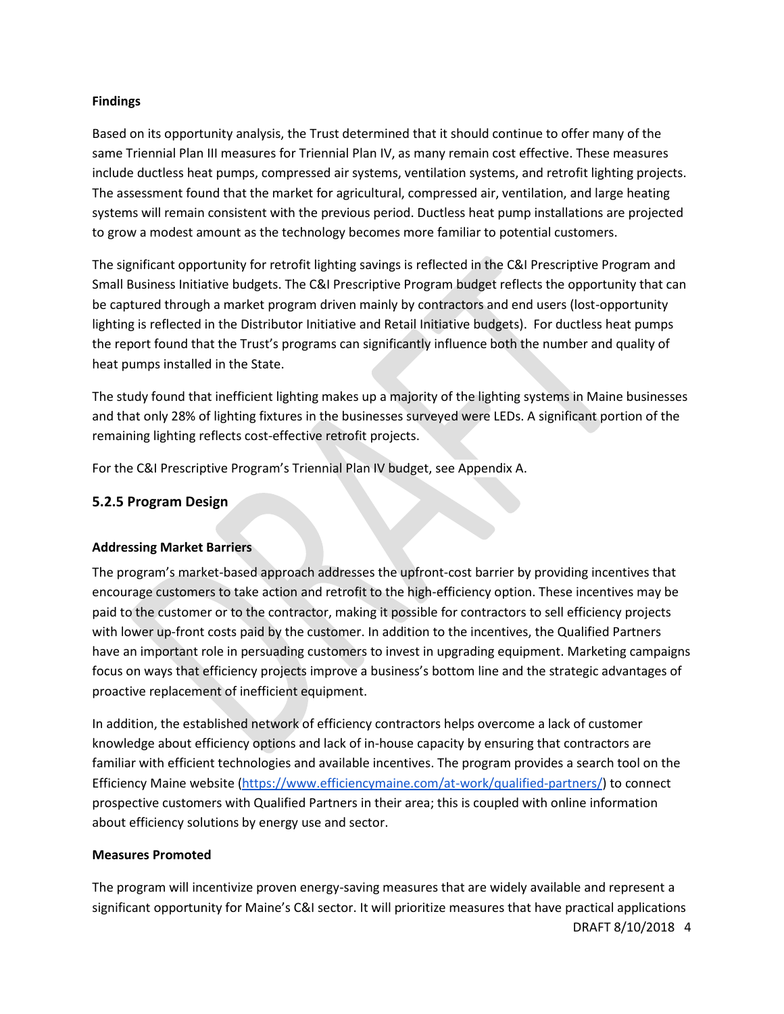#### **Findings**

Based on its opportunity analysis, the Trust determined that it should continue to offer many of the same Triennial Plan III measures for Triennial Plan IV, as many remain cost effective. These measures include ductless heat pumps, compressed air systems, ventilation systems, and retrofit lighting projects. The assessment found that the market for agricultural, compressed air, ventilation, and large heating systems will remain consistent with the previous period. Ductless heat pump installations are projected to grow a modest amount as the technology becomes more familiar to potential customers.

The significant opportunity for retrofit lighting savings is reflected in the C&I Prescriptive Program and Small Business Initiative budgets. The C&I Prescriptive Program budget reflects the opportunity that can be captured through a market program driven mainly by contractors and end users (lost-opportunity lighting is reflected in the Distributor Initiative and Retail Initiative budgets). For ductless heat pumps the report found that the Trust's programs can significantly influence both the number and quality of heat pumps installed in the State.

The study found that inefficient lighting makes up a majority of the lighting systems in Maine businesses and that only 28% of lighting fixtures in the businesses surveyed were LEDs. A significant portion of the remaining lighting reflects cost-effective retrofit projects.

For the C&I Prescriptive Program's Triennial Plan IV budget, see Appendix A.

### **5.2.5 Program Design**

#### **Addressing Market Barriers**

The program's market-based approach addresses the upfront-cost barrier by providing incentives that encourage customers to take action and retrofit to the high-efficiency option. These incentives may be paid to the customer or to the contractor, making it possible for contractors to sell efficiency projects with lower up-front costs paid by the customer. In addition to the incentives, the Qualified Partners have an important role in persuading customers to invest in upgrading equipment. Marketing campaigns focus on ways that efficiency projects improve a business's bottom line and the strategic advantages of proactive replacement of inefficient equipment.

In addition, the established network of efficiency contractors helps overcome a lack of customer knowledge about efficiency options and lack of in-house capacity by ensuring that contractors are familiar with efficient technologies and available incentives. The program provides a search tool on the Efficiency Maine website [\(https://www.efficiencymaine.com/at-work/qualified-partners/\)](https://www.efficiencymaine.com/at-work/qualified-partners/) to connect prospective customers with Qualified Partners in their area; this is coupled with online information about efficiency solutions by energy use and sector.

#### **Measures Promoted**

DRAFT 8/10/2018 4 The program will incentivize proven energy-saving measures that are widely available and represent a significant opportunity for Maine's C&I sector. It will prioritize measures that have practical applications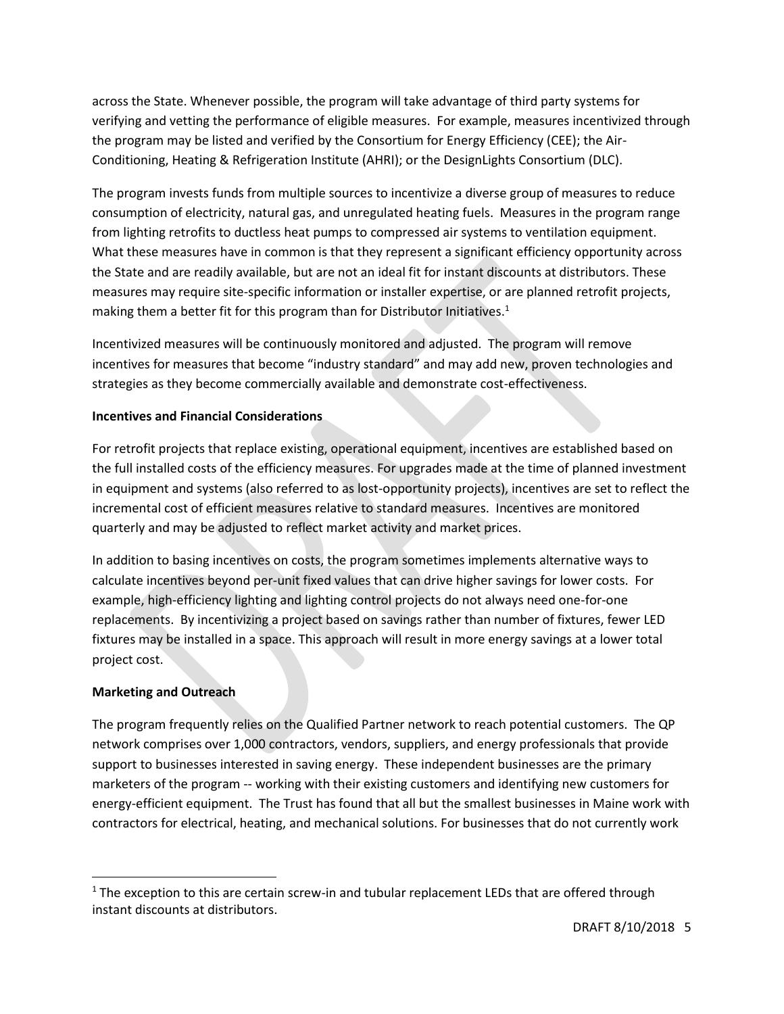across the State. Whenever possible, the program will take advantage of third party systems for verifying and vetting the performance of eligible measures. For example, measures incentivized through the program may be listed and verified by the Consortium for Energy Efficiency (CEE); the Air-Conditioning, Heating & Refrigeration Institute (AHRI); or the DesignLights Consortium (DLC).

The program invests funds from multiple sources to incentivize a diverse group of measures to reduce consumption of electricity, natural gas, and unregulated heating fuels. Measures in the program range from lighting retrofits to ductless heat pumps to compressed air systems to ventilation equipment. What these measures have in common is that they represent a significant efficiency opportunity across the State and are readily available, but are not an ideal fit for instant discounts at distributors. These measures may require site-specific information or installer expertise, or are planned retrofit projects, making them a better fit for this program than for Distributor Initiatives.<sup>1</sup>

Incentivized measures will be continuously monitored and adjusted. The program will remove incentives for measures that become "industry standard" and may add new, proven technologies and strategies as they become commercially available and demonstrate cost-effectiveness.

#### **Incentives and Financial Considerations**

For retrofit projects that replace existing, operational equipment, incentives are established based on the full installed costs of the efficiency measures. For upgrades made at the time of planned investment in equipment and systems (also referred to as lost-opportunity projects), incentives are set to reflect the incremental cost of efficient measures relative to standard measures. Incentives are monitored quarterly and may be adjusted to reflect market activity and market prices.

In addition to basing incentives on costs, the program sometimes implements alternative ways to calculate incentives beyond per-unit fixed values that can drive higher savings for lower costs. For example, high-efficiency lighting and lighting control projects do not always need one-for-one replacements. By incentivizing a project based on savings rather than number of fixtures, fewer LED fixtures may be installed in a space. This approach will result in more energy savings at a lower total project cost.

#### **Marketing and Outreach**

l

The program frequently relies on the Qualified Partner network to reach potential customers. The QP network comprises over 1,000 contractors, vendors, suppliers, and energy professionals that provide support to businesses interested in saving energy. These independent businesses are the primary marketers of the program -- working with their existing customers and identifying new customers for energy-efficient equipment. The Trust has found that all but the smallest businesses in Maine work with contractors for electrical, heating, and mechanical solutions. For businesses that do not currently work

 $<sup>1</sup>$  The exception to this are certain screw-in and tubular replacement LEDs that are offered through</sup> instant discounts at distributors.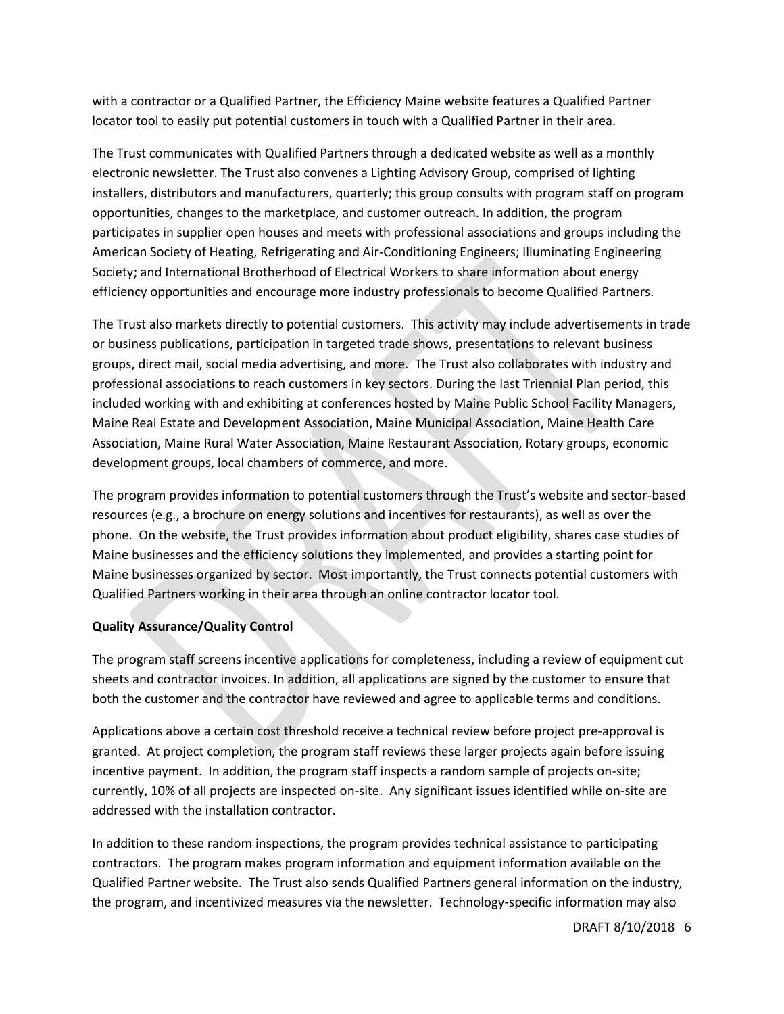with a contractor or a Qualified Partner, the Efficiency Maine website features a Qualified Partner locator tool to easily put potential customers in touch with a Qualified Partner in their area.

The Trust communicates with Qualified Partners through a dedicated website as well as a monthly electronic newsletter. The Trust also convenes a Lighting Advisory Group, comprised of lighting installers, distributors and manufacturers, quarterly; this group consults with program staff on program opportunities, changes to the marketplace, and customer outreach. In addition, the program participates in supplier open houses and meets with professional associations and groups including the American Society of Heating, Refrigerating and Air-Conditioning Engineers; Illuminating Engineering Society; and International Brotherhood of Electrical Workers to share information about energy efficiency opportunities and encourage more industry professionals to become Qualified Partners.

The Trust also markets directly to potential customers. This activity may include advertisements in trade or business publications, participation in targeted trade shows, presentations to relevant business groups, direct mail, social media advertising, and more. The Trust also collaborates with industry and professional associations to reach customers in key sectors. During the last Triennial Plan period, this included working with and exhibiting at conferences hosted by Maine Public School Facility Managers, Maine Real Estate and Development Association, Maine Municipal Association, Maine Health Care Association, Maine Rural Water Association, Maine Restaurant Association, Rotary groups, economic development groups, local chambers of commerce, and more.

The program provides information to potential customers through the Trust's website and sector-based resources (e.g., a brochure on energy solutions and incentives for restaurants), as well as over the phone. On the website, the Trust provides information about product eligibility, shares case studies of Maine businesses and the efficiency solutions they implemented, and provides a starting point for Maine businesses organized by sector. Most importantly, the Trust connects potential customers with Qualified Partners working in their area through an online contractor locator tool.

#### **Quality Assurance/Quality Control**

The program staff screens incentive applications for completeness, including a review of equipment cut sheets and contractor invoices. In addition, all applications are signed by the customer to ensure that both the customer and the contractor have reviewed and agree to applicable terms and conditions.

Applications above a certain cost threshold receive a technical review before project pre-approval is granted. At project completion, the program staff reviews these larger projects again before issuing incentive payment. In addition, the program staff inspects a random sample of projects on-site; currently, 10% of all projects are inspected on-site. Any significant issues identified while on-site are addressed with the installation contractor.

In addition to these random inspections, the program provides technical assistance to participating contractors. The program makes program information and equipment information available on the Qualified Partner website. The Trust also sends Qualified Partners general information on the industry, the program, and incentivized measures via the newsletter. Technology-specific information may also